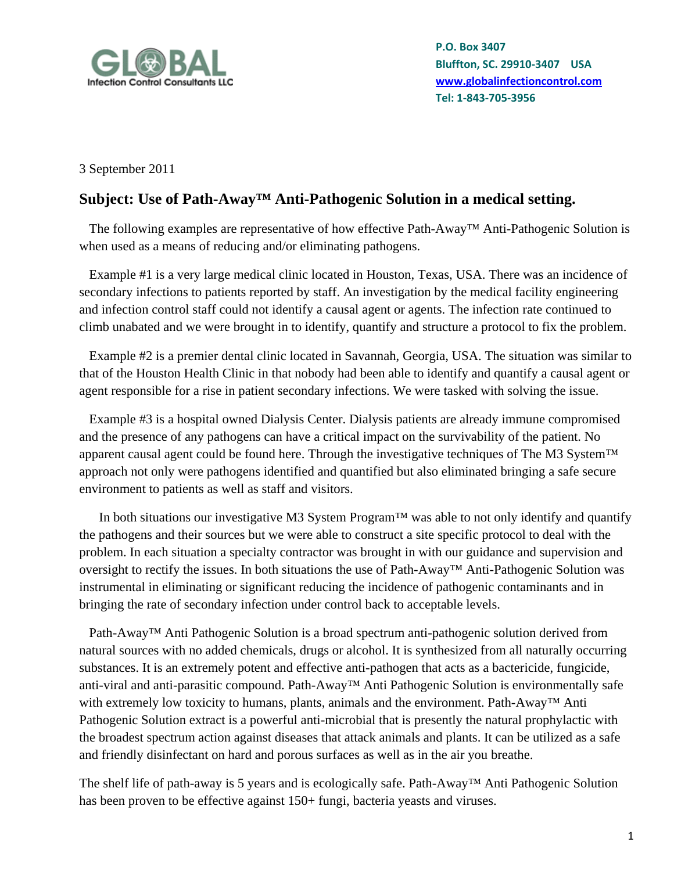

3 September 2011

### **Subject: Use of Path-Away™ Anti-Pathogenic Solution in a medical setting.**

 The following examples are representative of how effective Path-Away™ Anti-Pathogenic Solution is when used as a means of reducing and/or eliminating pathogens.

 Example #1 is a very large medical clinic located in Houston, Texas, USA. There was an incidence of secondary infections to patients reported by staff. An investigation by the medical facility engineering and infection control staff could not identify a causal agent or agents. The infection rate continued to climb unabated and we were brought in to identify, quantify and structure a protocol to fix the problem.

 Example #2 is a premier dental clinic located in Savannah, Georgia, USA. The situation was similar to that of the Houston Health Clinic in that nobody had been able to identify and quantify a causal agent or agent responsible for a rise in patient secondary infections. We were tasked with solving the issue.

 Example #3 is a hospital owned Dialysis Center. Dialysis patients are already immune compromised and the presence of any pathogens can have a critical impact on the survivability of the patient. No apparent causal agent could be found here. Through the investigative techniques of The M3 System™ approach not only were pathogens identified and quantified but also eliminated bringing a safe secure environment to patients as well as staff and visitors.

 In both situations our investigative M3 System Program™ was able to not only identify and quantify the pathogens and their sources but we were able to construct a site specific protocol to deal with the problem. In each situation a specialty contractor was brought in with our guidance and supervision and oversight to rectify the issues. In both situations the use of Path-Away™ Anti-Pathogenic Solution was instrumental in eliminating or significant reducing the incidence of pathogenic contaminants and in bringing the rate of secondary infection under control back to acceptable levels.

Path-Away™ Anti Pathogenic Solution is a broad spectrum anti-pathogenic solution derived from natural sources with no added chemicals, drugs or alcohol. It is synthesized from all naturally occurring substances. It is an extremely potent and effective anti-pathogen that acts as a bactericide, fungicide, anti-viral and anti-parasitic compound. Path-Away™ Anti Pathogenic Solution is environmentally safe with extremely low toxicity to humans, plants, animals and the environment. Path-Away™ Anti Pathogenic Solution extract is a powerful anti-microbial that is presently the natural prophylactic with the broadest spectrum action against diseases that attack animals and plants. It can be utilized as a safe and friendly disinfectant on hard and porous surfaces as well as in the air you breathe.

The shelf life of path-away is 5 years and is ecologically safe. Path-Away™ Anti Pathogenic Solution has been proven to be effective against 150+ fungi, bacteria yeasts and viruses.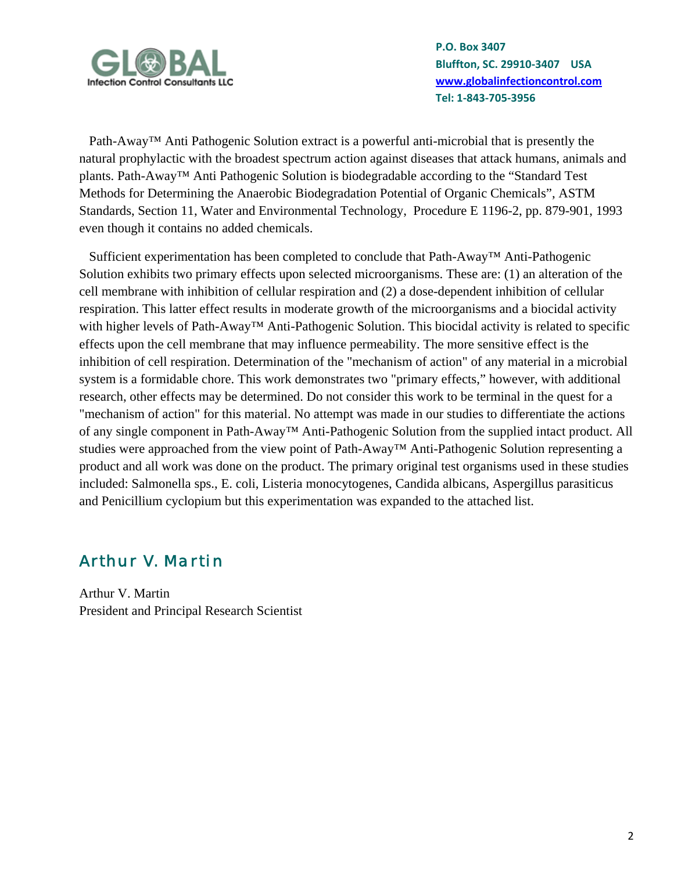

Path-Away™ Anti Pathogenic Solution extract is a powerful anti-microbial that is presently the natural prophylactic with the broadest spectrum action against diseases that attack humans, animals and plants. Path-Away™ Anti Pathogenic Solution is biodegradable according to the "Standard Test Methods for Determining the Anaerobic Biodegradation Potential of Organic Chemicals", ASTM Standards, Section 11, Water and Environmental Technology, Procedure E 1196-2, pp. 879-901, 1993 even though it contains no added chemicals.

 Sufficient experimentation has been completed to conclude that Path-Away™ Anti-Pathogenic Solution exhibits two primary effects upon selected microorganisms. These are: (1) an alteration of the cell membrane with inhibition of cellular respiration and (2) a dose-dependent inhibition of cellular respiration. This latter effect results in moderate growth of the microorganisms and a biocidal activity with higher levels of Path-Away<sup>™</sup> Anti-Pathogenic Solution. This biocidal activity is related to specific effects upon the cell membrane that may influence permeability. The more sensitive effect is the inhibition of cell respiration. Determination of the "mechanism of action" of any material in a microbial system is a formidable chore. This work demonstrates two "primary effects," however, with additional research, other effects may be determined. Do not consider this work to be terminal in the quest for a "mechanism of action" for this material. No attempt was made in our studies to differentiate the actions of any single component in Path-Away™ Anti-Pathogenic Solution from the supplied intact product. All studies were approached from the view point of Path-Away™ Anti-Pathogenic Solution representing a product and all work was done on the product. The primary original test organisms used in these studies included: Salmonella sps., E. coli, Listeria monocytogenes, Candida albicans, Aspergillus parasiticus and Penicillium cyclopium but this experimentation was expanded to the attached list.

## *Arthur V. Martin*

Arthur V. Martin President and Principal Research Scientist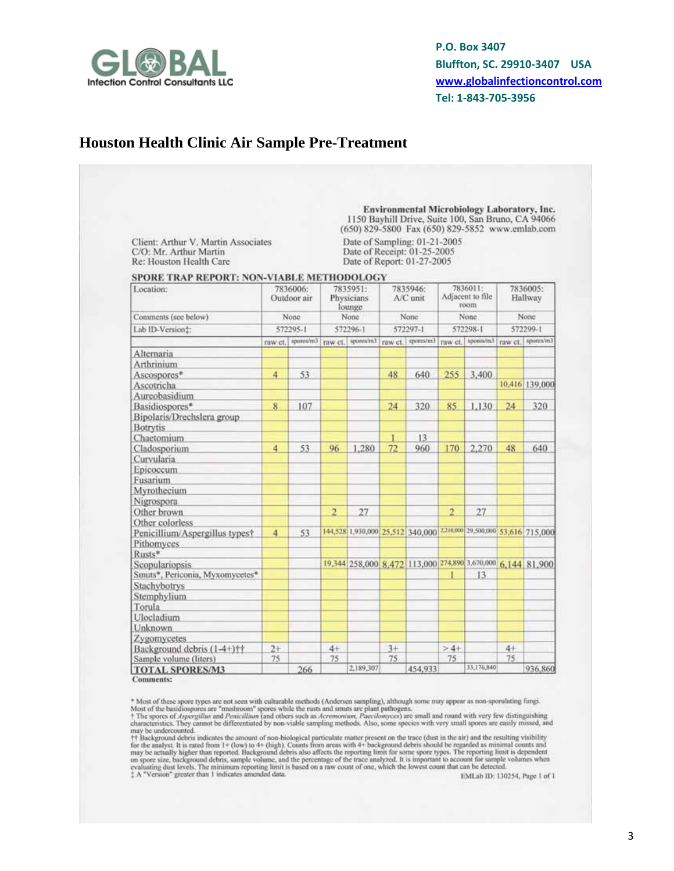

#### **Houston Health Clinic Air Sample Pre-Treatment**

|                                                                                          |                |                         |                |                                  |      | Environmental Microbiology Laboratory, Inc.<br>1150 Bayhill Drive, Suite 100, San Bruno, CA 94066<br>(650) 829-5800 Fax (650) 829-5852 www.emlab.com |                |                                      |      |                     |
|------------------------------------------------------------------------------------------|----------------|-------------------------|----------------|----------------------------------|------|------------------------------------------------------------------------------------------------------------------------------------------------------|----------------|--------------------------------------|------|---------------------|
| Client: Arthur V. Martin Associates<br>C/O: Mr. Arthur Martin<br>Re: Houston Health Care |                |                         |                |                                  |      | Date of Sampling: 01-21-2005<br>Date of Receipt: 01-25-2005<br>Date of Report: 01-27-2005                                                            |                |                                      |      |                     |
| SPORE TRAP REPORT: NON-VIABLE METHODOLOGY<br>Location:                                   |                | 7836006:<br>Outdoor air |                | 7835951:<br>Physicians<br>lounge |      | 7835946:<br>A/C unit                                                                                                                                 |                | 7836011:<br>Adjacent to file<br>moon |      | 7836005:<br>Hallway |
| Comments (see below)                                                                     |                | None                    |                | None                             |      | None.                                                                                                                                                |                | None                                 |      | None                |
| Lab ID-Version:                                                                          |                | 572295-1                |                | 572296-1                         |      | 572297-1                                                                                                                                             |                | 572298-1                             |      | 572299-1            |
|                                                                                          |                |                         |                |                                  |      | raw ct. Sportsvm3 raw ct. sportsvm3 raw ct. sportsvm3 raw ct. sportsvm3 raw ct. sportsvm3                                                            |                |                                      |      |                     |
| Alternaria                                                                               |                |                         |                |                                  |      |                                                                                                                                                      |                |                                      |      |                     |
| Arthrinium                                                                               |                |                         |                |                                  |      |                                                                                                                                                      |                |                                      |      |                     |
| Ascospores*                                                                              | 4              | 53                      |                |                                  | 48   | 640                                                                                                                                                  | 255            | 3,400                                |      |                     |
| Ascotricha                                                                               |                |                         |                |                                  |      |                                                                                                                                                      |                |                                      |      | 10,416 139,000      |
| Aureobasidium                                                                            |                |                         |                |                                  |      |                                                                                                                                                      |                |                                      |      |                     |
| Basidiospores*                                                                           | 8              | 107                     |                |                                  | 24   | 320                                                                                                                                                  | 85             | 1.130                                | 24   | 320                 |
| Bipolaris/Drechslera group                                                               |                |                         |                |                                  |      |                                                                                                                                                      |                |                                      |      |                     |
| <b>Botrytis</b>                                                                          |                |                         |                |                                  |      |                                                                                                                                                      |                |                                      |      |                     |
| Chaetomium                                                                               |                |                         |                |                                  |      | 13                                                                                                                                                   |                |                                      |      |                     |
| Cladosporium                                                                             | $\overline{4}$ | 53                      | 96             | 1.280                            | 72   | 960                                                                                                                                                  | 170            | 2,270                                | 48   | 640                 |
| Curvularia                                                                               |                |                         |                |                                  |      |                                                                                                                                                      |                |                                      |      |                     |
| Epicoccum                                                                                |                |                         |                |                                  |      |                                                                                                                                                      |                |                                      |      |                     |
| Fusarium                                                                                 |                |                         |                |                                  |      |                                                                                                                                                      |                |                                      |      |                     |
| Myrothecium                                                                              |                |                         |                |                                  |      |                                                                                                                                                      |                |                                      |      |                     |
| Nigrospora                                                                               |                |                         |                |                                  |      |                                                                                                                                                      |                |                                      |      |                     |
| Other brown                                                                              |                |                         | $\overline{2}$ | 27                               |      |                                                                                                                                                      | $\overline{2}$ | 27                                   |      |                     |
| Other colorless                                                                          |                |                         |                |                                  |      |                                                                                                                                                      |                |                                      |      |                     |
| Penicillium/Aspergillus typest                                                           | $\overline{4}$ | 53                      |                |                                  |      | 144,528 1,930,000 25,512 340,000 2210,000 29,500,000 53,616 715,000                                                                                  |                |                                      |      |                     |
| Pithomyces                                                                               |                |                         |                |                                  |      |                                                                                                                                                      |                |                                      |      |                     |
| Rusts*                                                                                   |                |                         |                |                                  |      | 19,344 258,000 8,472 113,000 274,890 3,670,000 6,144 81,900                                                                                          |                |                                      |      |                     |
| <b>Scopulariopsis</b><br>Smuts*, Periconia, Myxomycetes*                                 |                |                         |                |                                  |      |                                                                                                                                                      |                | 13                                   |      |                     |
| Stachybotrys                                                                             |                |                         |                |                                  |      |                                                                                                                                                      |                |                                      |      |                     |
| Stemphylium                                                                              |                |                         |                |                                  |      |                                                                                                                                                      |                |                                      |      |                     |
| Torula                                                                                   |                |                         |                |                                  |      |                                                                                                                                                      |                |                                      |      |                     |
| <b>Ulocladium</b>                                                                        |                |                         |                |                                  |      |                                                                                                                                                      |                |                                      |      |                     |
| Unknown                                                                                  |                |                         |                |                                  |      |                                                                                                                                                      |                |                                      |      |                     |
| Zygomycetes                                                                              |                |                         |                |                                  |      |                                                                                                                                                      |                |                                      |      |                     |
| Background debris (1-4+)††                                                               | $2+$           |                         | $4+$           |                                  | $3+$ |                                                                                                                                                      | $>4+$          |                                      | $4+$ |                     |
| Sample volume (liters)                                                                   | 75             |                         | 75             |                                  | 75   |                                                                                                                                                      | 75             |                                      | 75   |                     |
|                                                                                          |                | 266                     |                | 2.189.307                        |      | 454,933                                                                                                                                              |                | 33,176,840                           |      | 936,860             |

**Comments:** 

\* Most of these spore types are not seen with culturable methods (Andersen sampling), although some may appear as as<br>n-sporulating fungi. Most of the basidiospores are "mushroom" spores while the nasts and smuts are plant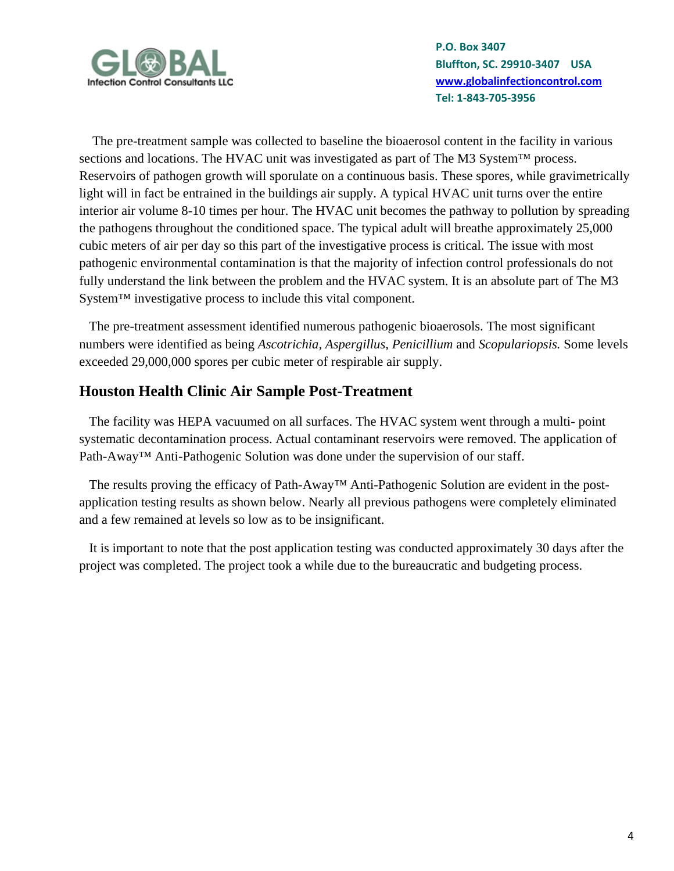

 The pre-treatment sample was collected to baseline the bioaerosol content in the facility in various sections and locations. The HVAC unit was investigated as part of The M3 System™ process. Reservoirs of pathogen growth will sporulate on a continuous basis. These spores, while gravimetrically light will in fact be entrained in the buildings air supply. A typical HVAC unit turns over the entire interior air volume 8-10 times per hour. The HVAC unit becomes the pathway to pollution by spreading the pathogens throughout the conditioned space. The typical adult will breathe approximately 25,000 cubic meters of air per day so this part of the investigative process is critical. The issue with most pathogenic environmental contamination is that the majority of infection control professionals do not fully understand the link between the problem and the HVAC system. It is an absolute part of The M3 System™ investigative process to include this vital component.

 The pre-treatment assessment identified numerous pathogenic bioaerosols. The most significant numbers were identified as being *Ascotrichia, Aspergillus, Penicillium* and *Scopulariopsis.* Some levels exceeded 29,000,000 spores per cubic meter of respirable air supply.

#### **Houston Health Clinic Air Sample Post-Treatment**

The facility was HEPA vacuumed on all surfaces. The HVAC system went through a multi-point systematic decontamination process. Actual contaminant reservoirs were removed. The application of Path-Away™ Anti-Pathogenic Solution was done under the supervision of our staff.

 The results proving the efficacy of Path-Away™ Anti-Pathogenic Solution are evident in the postapplication testing results as shown below. Nearly all previous pathogens were completely eliminated and a few remained at levels so low as to be insignificant.

 It is important to note that the post application testing was conducted approximately 30 days after the project was completed. The project took a while due to the bureaucratic and budgeting process.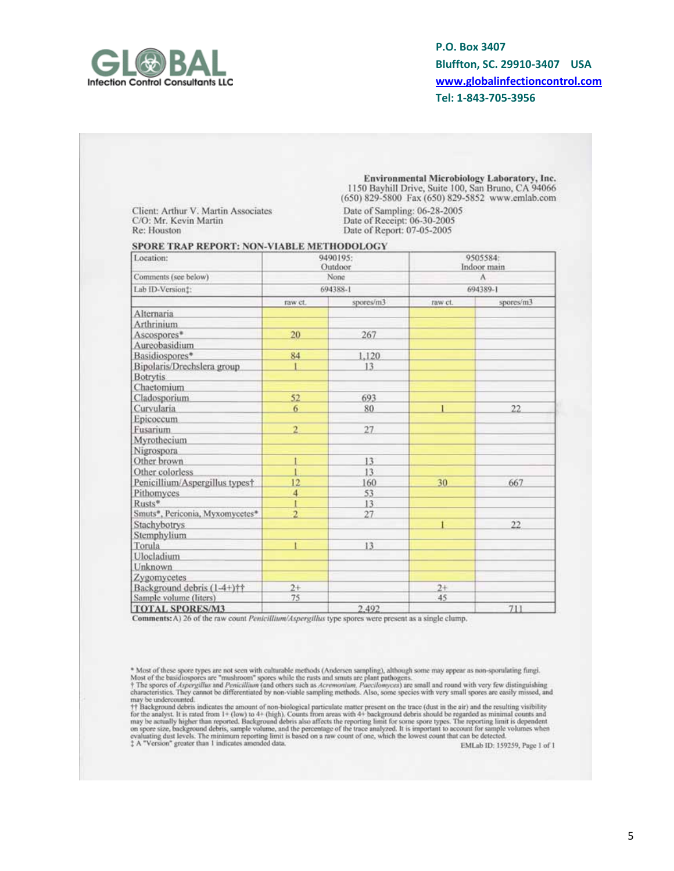

Client: Arthur V. Martin Associates C/O: Mr. Kevin Martin Re: Houston

Environmental Microbiology Laboratory, Inc. 1150 Bayhill Drive, Suite 100, San Bruno, CA 94066 (650) 829-5800 Fax (650) 829-5852 www.emlab.com Date of Sampling: 06-28-2005<br>Date of Receipt: 06-30-2005

Date of Report: 07-05-2005

#### SPORE TRAP REPORT: NON-VIABLE METHODOLOGY

| Location:                                     |                | 9490195:<br>Outdoor |          | 9505584:<br>Indoor main |  |
|-----------------------------------------------|----------------|---------------------|----------|-------------------------|--|
| Comments (see below)                          |                | None                |          | A                       |  |
| Lab ID-Version!:                              |                | 694388-1            | 694389-1 |                         |  |
|                                               | raw ct.        | spores/m3           | raw ct.  | spores/m3               |  |
| Alternaria                                    |                |                     |          |                         |  |
| Arthrinium                                    |                |                     |          |                         |  |
| Ascospores*                                   | 20             | 267                 |          |                         |  |
| Aureobasidium                                 |                |                     |          |                         |  |
| Basidiospores*                                | 84             | 1.120               |          |                         |  |
| Bipolaris/Drechslera group<br><b>Botrytis</b> |                | 13                  |          |                         |  |
| Chaetomium                                    |                |                     |          |                         |  |
| Cladosporium                                  | 52             | 693                 |          |                         |  |
| Curvularia                                    | 6              | 80                  |          | 22                      |  |
| Epicoccum                                     |                |                     |          |                         |  |
| Fusarium                                      | $\overline{2}$ | 27                  |          |                         |  |
| Myrothecium                                   |                |                     |          |                         |  |
| Nigrospora                                    |                |                     |          |                         |  |
| Other brown                                   |                | 13                  |          |                         |  |
| Other colorless                               |                | 13                  |          |                         |  |
| Penicillium/Aspergillus typest                | 12             | 160                 | 30       | 667                     |  |
| Pithomyces                                    | 4              | 53                  |          |                         |  |
| Rusts*                                        |                | 13                  |          |                         |  |
| Smuts*, Periconia, Myxomycetes*               | $\overline{2}$ | 27                  |          |                         |  |
| Stachybotrys                                  |                |                     |          | 22                      |  |
| Stemphylium                                   |                |                     |          |                         |  |
| Torula                                        |                | 13                  |          |                         |  |
| Ulocladium                                    |                |                     |          |                         |  |
| Unknown                                       |                |                     |          |                         |  |
| Zygomycetes                                   |                |                     |          |                         |  |
| Background debris (1-4+)††                    | $2+$           |                     | $2+$     |                         |  |
| Sample volume (liters)                        | 75             |                     | 45       |                         |  |
| TOTAL SPORES/M3                               |                | 2.492               |          | 711                     |  |

Comments: A) 26 of the raw count Penicillium/Aspergillus type spores were present as a single clump.

may be undercounted.<br>The Background debris indicates the amount of non-biological particulate matter present on the trace (dust in the air) and the resulting visibility<br>for the analyst. It is rated from 1+ (low) to 4+ (hi

EMLab ID: 159259, Page 1 of 1

<sup>\*</sup> Most of these spore types are not seen with culturable methods (Andersen sampling), although some may appear as non-sporulating fungi.<br>Most of the basidiospores are "mushroom" spores while the rusts and smuts are plant p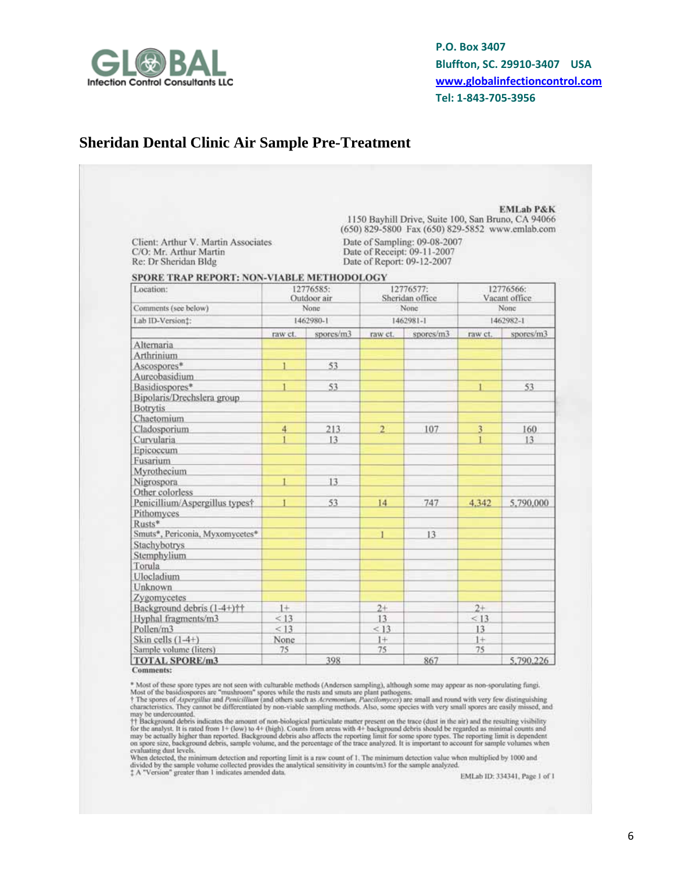

#### **Sheridan Dental Clinic Air Sample Pre-Treatment**

| Client: Arthur V. Martin Associates<br>C/O: Mr. Arthur Martin<br>Re: Dr Sheridan Bldg |         |                          |                |                                                                                           |         | (650) 829-5800 Fax (650) 829-5852 www.emlab.com |  |
|---------------------------------------------------------------------------------------|---------|--------------------------|----------------|-------------------------------------------------------------------------------------------|---------|-------------------------------------------------|--|
|                                                                                       |         |                          |                | Date of Sampling: 09-08-2007<br>Date of Receipt: 09-11-2007<br>Date of Report: 09-12-2007 |         |                                                 |  |
| SPORE TRAP REPORT: NON-VIABLE METHODOLOGY                                             |         |                          |                |                                                                                           |         |                                                 |  |
| Location:                                                                             |         | 12776585:<br>Outdoor air |                | 12776577:<br>Sheridan office                                                              |         | 12776566:<br>Vacant office                      |  |
| Comments (see below)                                                                  |         | None                     |                | None                                                                                      |         | None                                            |  |
| Lab ID-Version!:                                                                      |         | 1462980-1                |                | 1462981-1                                                                                 |         | 1462982-1                                       |  |
|                                                                                       | raw ct. | spores/m3                | raw ct.        | spores/m3                                                                                 | raw ct. | spores/m3                                       |  |
| Alternaria                                                                            |         |                          |                |                                                                                           |         |                                                 |  |
| Arthrinium                                                                            |         |                          |                |                                                                                           |         |                                                 |  |
| Ascospores*                                                                           |         | 53                       |                |                                                                                           |         |                                                 |  |
| Aureobasidium                                                                         |         |                          |                |                                                                                           |         |                                                 |  |
| Basidiospores*                                                                        |         | 53                       |                |                                                                                           |         | 53                                              |  |
| Bipolaris/Drechslera group                                                            |         |                          |                |                                                                                           |         |                                                 |  |
| <b>Botrytis</b>                                                                       |         |                          |                |                                                                                           |         |                                                 |  |
| Chaetomium                                                                            |         |                          |                |                                                                                           |         |                                                 |  |
| Cladosporium                                                                          | 4       | 213                      | $\overline{2}$ | 107                                                                                       | 3       | 160                                             |  |
| Curvularia                                                                            |         | 13                       |                |                                                                                           |         | 13                                              |  |
| Epicoccum                                                                             |         |                          |                |                                                                                           |         |                                                 |  |
| Fusarium                                                                              |         |                          |                |                                                                                           |         |                                                 |  |
| Myrothecium                                                                           |         |                          |                |                                                                                           |         |                                                 |  |
| Nigrospora                                                                            |         | 13                       |                |                                                                                           |         |                                                 |  |
| Other colorless                                                                       |         |                          |                |                                                                                           |         |                                                 |  |
| Penicillium/Aspergillus typest                                                        |         | 53                       | 14             | 747                                                                                       | 4.342   | 5.790.000                                       |  |
| Pithomyces.                                                                           |         |                          |                |                                                                                           |         |                                                 |  |
| Rusts*                                                                                |         |                          |                |                                                                                           |         |                                                 |  |
| Smuts*, Periconia, Myxomycetes*                                                       |         |                          |                | 13                                                                                        |         |                                                 |  |
| Stachybotrys                                                                          |         |                          |                |                                                                                           |         |                                                 |  |
| Stemphylium                                                                           |         |                          |                |                                                                                           |         |                                                 |  |
| Torula                                                                                |         |                          |                |                                                                                           |         |                                                 |  |
| Ulocladium                                                                            |         |                          |                |                                                                                           |         |                                                 |  |
| Unknown                                                                               |         |                          |                |                                                                                           |         |                                                 |  |
| Zygomycetes                                                                           |         |                          |                |                                                                                           |         |                                                 |  |
| Background debris (1-4+)††                                                            | $1+$    |                          | $2+$           |                                                                                           | $2+$    |                                                 |  |
| Hyphal fragments/m3                                                                   | < 13    |                          | 13             |                                                                                           | < 13    |                                                 |  |
| Pollen/m3                                                                             | < 13    |                          | < 13           |                                                                                           | 13      |                                                 |  |
| Skin cells $(1-4+)$                                                                   | None    |                          | $1+$           |                                                                                           | $1+$    |                                                 |  |
| Sample volume (liters)                                                                | 75      |                          | 75             |                                                                                           | 75      |                                                 |  |
| <b>TOTAL SPORE/m3</b>                                                                 |         | 398                      |                | 867                                                                                       |         | 5.790.226                                       |  |

Comments:

\* Most of these spore types are not seen with culturable methods (Andersen sampling), although some may appear as non-sporulating fungi.<br>Most of the basidiospores are "mushroom" spores while the rusts and smuts are plant p

may be undercounted.<br>
† Background debris indicates the amount of non-biological particulate matter present on the trace (dust in the air) and the resulting visibility<br>
†† Background debris stated from 1+ (low) to 4+ (high s when

evaluating dust levels.<br>When detected, the minimum detection and reporting limit is a raw count of 1. The minimum detection value when multiplied by 1000 and<br>divided by the sample volume collected provides the analytical s

EMLab ID: 334341, Page 1 of 1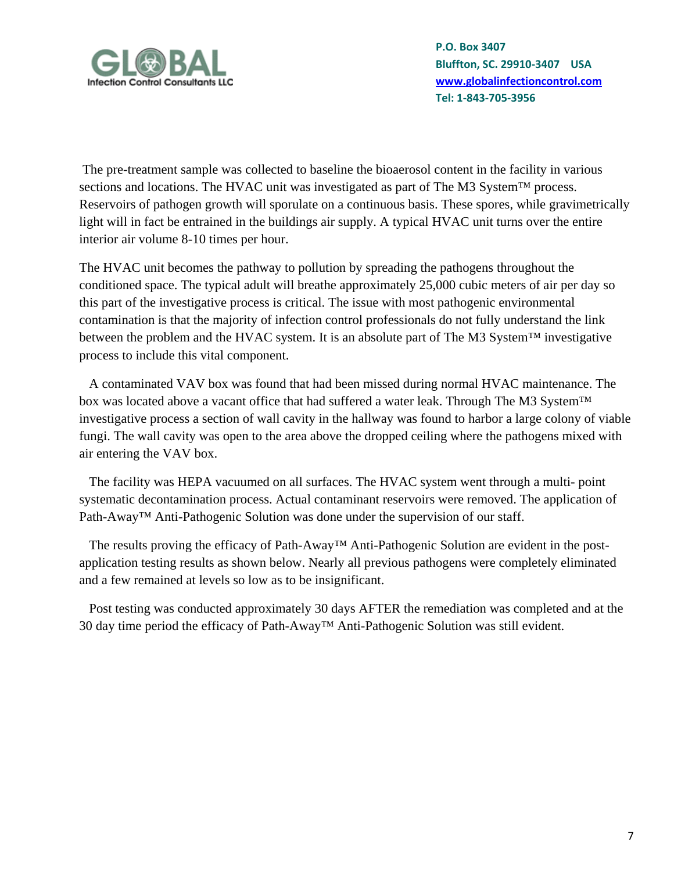

 The pre-treatment sample was collected to baseline the bioaerosol content in the facility in various sections and locations. The HVAC unit was investigated as part of The M3 System™ process. Reservoirs of pathogen growth will sporulate on a continuous basis. These spores, while gravimetrically light will in fact be entrained in the buildings air supply. A typical HVAC unit turns over the entire interior air volume 8-10 times per hour.

The HVAC unit becomes the pathway to pollution by spreading the pathogens throughout the conditioned space. The typical adult will breathe approximately 25,000 cubic meters of air per day so this part of the investigative process is critical. The issue with most pathogenic environmental contamination is that the majority of infection control professionals do not fully understand the link between the problem and the HVAC system. It is an absolute part of The M3 System™ investigative process to include this vital component.

 A contaminated VAV box was found that had been missed during normal HVAC maintenance. The box was located above a vacant office that had suffered a water leak. Through The M3 System™ investigative process a section of wall cavity in the hallway was found to harbor a large colony of viable fungi. The wall cavity was open to the area above the dropped ceiling where the pathogens mixed with air entering the VAV box.

 The facility was HEPA vacuumed on all surfaces. The HVAC system went through a multi- point systematic decontamination process. Actual contaminant reservoirs were removed. The application of Path-Away™ Anti-Pathogenic Solution was done under the supervision of our staff.

 The results proving the efficacy of Path-Away™ Anti-Pathogenic Solution are evident in the postapplication testing results as shown below. Nearly all previous pathogens were completely eliminated and a few remained at levels so low as to be insignificant.

 Post testing was conducted approximately 30 days AFTER the remediation was completed and at the 30 day time period the efficacy of Path-Away™ Anti-Pathogenic Solution was still evident.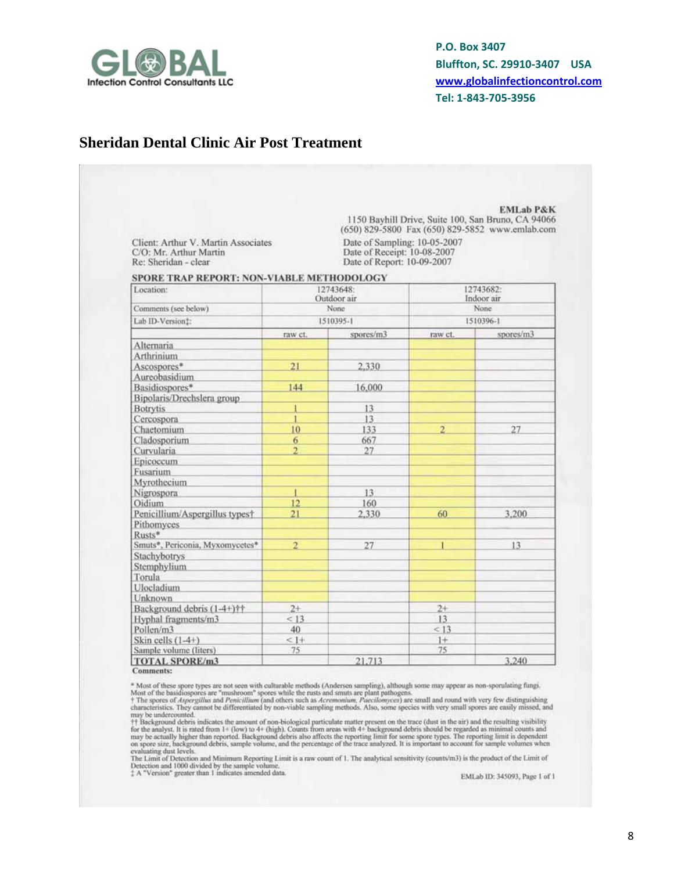

### **Sheridan Dental Clinic Air Post Treatment**

| Client: Arthur V. Martin Associates<br>C/O: Mr. Arthur Martin<br>Re: Sheridan - clear<br>SPORE TRAP REPORT: NON-VIABLE METHODOLOGY<br>Location:<br>Comments (see below)<br>Lab ID-Version!:<br>raw ct.<br>Alternaria<br>Arthrinium<br>21<br>Ascospores*<br>Aureobasidium<br>144<br>Basidiospores*<br>Bipolaris/Drechslera group<br><b>Botrytis</b><br>ı<br>Cercospora<br>I<br>10<br>Chaetomium<br>Cladosporium<br>6<br>$\overline{2}$<br>Curvularia<br>Epicoccum<br>Fusarium<br>Myrothecium<br>$\mathbf{I}$<br>Nigrospora<br>Oidium<br>12<br>21<br>Penicillium/Aspergillus typest<br>Pithomyces<br>Rusts*<br>Smuts*, Periconia, Myxomycetes*<br>$\overline{2}$<br>Stachybotrys | Date of Sampling: 10-05-2007<br>Date of Receipt: 10-08-2007<br>Date of Report: 10-09-2007<br>12743648:<br>Outdoor air<br>None<br>1510395-1<br>spores/m3<br>2.330<br>16,000<br>13<br>13<br>133<br>667 | raw ct.<br>2 | 12743682:<br>Indoor air<br>None.<br>1510396-1<br>27 |
|--------------------------------------------------------------------------------------------------------------------------------------------------------------------------------------------------------------------------------------------------------------------------------------------------------------------------------------------------------------------------------------------------------------------------------------------------------------------------------------------------------------------------------------------------------------------------------------------------------------------------------------------------------------------------------|------------------------------------------------------------------------------------------------------------------------------------------------------------------------------------------------------|--------------|-----------------------------------------------------|
|                                                                                                                                                                                                                                                                                                                                                                                                                                                                                                                                                                                                                                                                                |                                                                                                                                                                                                      |              |                                                     |
|                                                                                                                                                                                                                                                                                                                                                                                                                                                                                                                                                                                                                                                                                |                                                                                                                                                                                                      |              |                                                     |
|                                                                                                                                                                                                                                                                                                                                                                                                                                                                                                                                                                                                                                                                                |                                                                                                                                                                                                      |              |                                                     |
|                                                                                                                                                                                                                                                                                                                                                                                                                                                                                                                                                                                                                                                                                |                                                                                                                                                                                                      |              | spores/m3                                           |
|                                                                                                                                                                                                                                                                                                                                                                                                                                                                                                                                                                                                                                                                                |                                                                                                                                                                                                      |              |                                                     |
|                                                                                                                                                                                                                                                                                                                                                                                                                                                                                                                                                                                                                                                                                |                                                                                                                                                                                                      |              |                                                     |
|                                                                                                                                                                                                                                                                                                                                                                                                                                                                                                                                                                                                                                                                                |                                                                                                                                                                                                      |              |                                                     |
|                                                                                                                                                                                                                                                                                                                                                                                                                                                                                                                                                                                                                                                                                |                                                                                                                                                                                                      |              |                                                     |
|                                                                                                                                                                                                                                                                                                                                                                                                                                                                                                                                                                                                                                                                                |                                                                                                                                                                                                      |              |                                                     |
|                                                                                                                                                                                                                                                                                                                                                                                                                                                                                                                                                                                                                                                                                |                                                                                                                                                                                                      |              |                                                     |
|                                                                                                                                                                                                                                                                                                                                                                                                                                                                                                                                                                                                                                                                                |                                                                                                                                                                                                      |              |                                                     |
|                                                                                                                                                                                                                                                                                                                                                                                                                                                                                                                                                                                                                                                                                |                                                                                                                                                                                                      |              |                                                     |
|                                                                                                                                                                                                                                                                                                                                                                                                                                                                                                                                                                                                                                                                                |                                                                                                                                                                                                      |              |                                                     |
|                                                                                                                                                                                                                                                                                                                                                                                                                                                                                                                                                                                                                                                                                |                                                                                                                                                                                                      |              |                                                     |
|                                                                                                                                                                                                                                                                                                                                                                                                                                                                                                                                                                                                                                                                                |                                                                                                                                                                                                      |              |                                                     |
|                                                                                                                                                                                                                                                                                                                                                                                                                                                                                                                                                                                                                                                                                |                                                                                                                                                                                                      |              |                                                     |
|                                                                                                                                                                                                                                                                                                                                                                                                                                                                                                                                                                                                                                                                                |                                                                                                                                                                                                      |              |                                                     |
|                                                                                                                                                                                                                                                                                                                                                                                                                                                                                                                                                                                                                                                                                | 27                                                                                                                                                                                                   |              |                                                     |
|                                                                                                                                                                                                                                                                                                                                                                                                                                                                                                                                                                                                                                                                                |                                                                                                                                                                                                      |              |                                                     |
|                                                                                                                                                                                                                                                                                                                                                                                                                                                                                                                                                                                                                                                                                |                                                                                                                                                                                                      |              |                                                     |
|                                                                                                                                                                                                                                                                                                                                                                                                                                                                                                                                                                                                                                                                                |                                                                                                                                                                                                      |              |                                                     |
|                                                                                                                                                                                                                                                                                                                                                                                                                                                                                                                                                                                                                                                                                | 13                                                                                                                                                                                                   |              |                                                     |
|                                                                                                                                                                                                                                                                                                                                                                                                                                                                                                                                                                                                                                                                                | 160                                                                                                                                                                                                  |              |                                                     |
|                                                                                                                                                                                                                                                                                                                                                                                                                                                                                                                                                                                                                                                                                | 2,330                                                                                                                                                                                                | 60           | 3.200                                               |
|                                                                                                                                                                                                                                                                                                                                                                                                                                                                                                                                                                                                                                                                                |                                                                                                                                                                                                      |              |                                                     |
|                                                                                                                                                                                                                                                                                                                                                                                                                                                                                                                                                                                                                                                                                | 27                                                                                                                                                                                                   |              | 13                                                  |
|                                                                                                                                                                                                                                                                                                                                                                                                                                                                                                                                                                                                                                                                                |                                                                                                                                                                                                      |              |                                                     |
| Stemphylium                                                                                                                                                                                                                                                                                                                                                                                                                                                                                                                                                                                                                                                                    |                                                                                                                                                                                                      |              |                                                     |
| Torula                                                                                                                                                                                                                                                                                                                                                                                                                                                                                                                                                                                                                                                                         |                                                                                                                                                                                                      |              |                                                     |
| Ulocladium                                                                                                                                                                                                                                                                                                                                                                                                                                                                                                                                                                                                                                                                     |                                                                                                                                                                                                      |              |                                                     |
| Unknown                                                                                                                                                                                                                                                                                                                                                                                                                                                                                                                                                                                                                                                                        |                                                                                                                                                                                                      |              |                                                     |
| Background debris (1-4+)††<br>$2+$                                                                                                                                                                                                                                                                                                                                                                                                                                                                                                                                                                                                                                             |                                                                                                                                                                                                      | $2+$         |                                                     |
| Hyphal fragments/m3<br>< 13                                                                                                                                                                                                                                                                                                                                                                                                                                                                                                                                                                                                                                                    |                                                                                                                                                                                                      | 13           |                                                     |
| Pollen/m3<br>40                                                                                                                                                                                                                                                                                                                                                                                                                                                                                                                                                                                                                                                                |                                                                                                                                                                                                      | < 13         |                                                     |
| Skin cells $(1-4+)$<br>$<$ 1+                                                                                                                                                                                                                                                                                                                                                                                                                                                                                                                                                                                                                                                  |                                                                                                                                                                                                      | $1+$         |                                                     |
| Sample volume (liters)<br>75<br><b>TOTAL SPORE/m3</b>                                                                                                                                                                                                                                                                                                                                                                                                                                                                                                                                                                                                                          |                                                                                                                                                                                                      | 75           | 3,240                                               |

**Comments:** 

**Comments:**<br> **Example 18** Most of these spore types are not seen with culturable methods (Andersen sampling), although some may appear as non-sporulating fungi.<br> **Most of the basic disospores are "mushroom"** spores while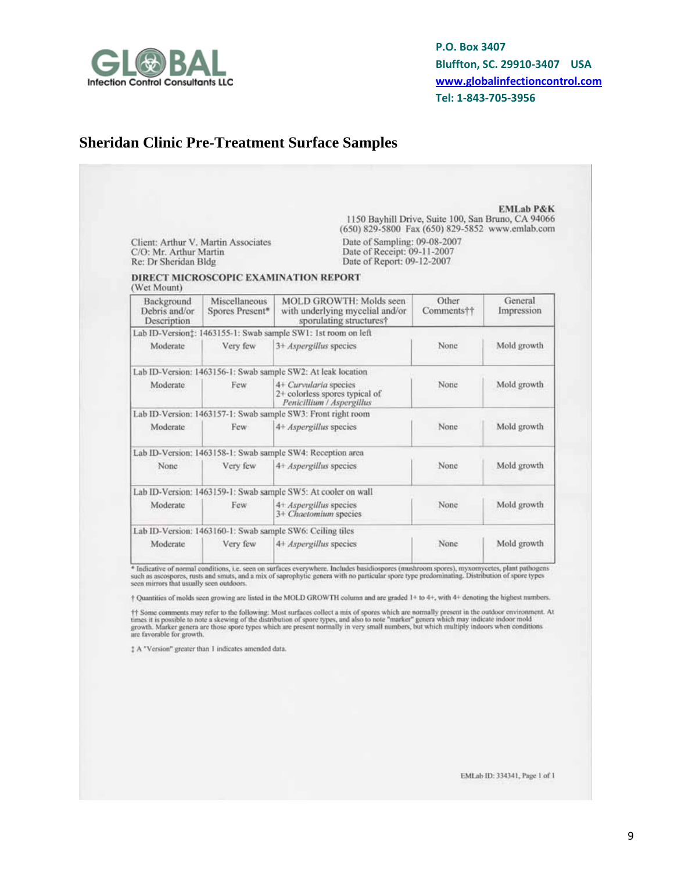

# **Sheridan Clinic Pre-Treatment Surface Samples**

|                                                | Client: Arthur V. Martin Associates                  | (650) 829-5800 Fax (650) 829-5852 www.emlab.com<br>Date of Sampling: 09-08-2007                                                                                                                                                                                                                                                                                                                                                        | 1150 Bayhill Drive, Suite 100, San Bruno, CA 94066 |                       |
|------------------------------------------------|------------------------------------------------------|----------------------------------------------------------------------------------------------------------------------------------------------------------------------------------------------------------------------------------------------------------------------------------------------------------------------------------------------------------------------------------------------------------------------------------------|----------------------------------------------------|-----------------------|
| C/O: Mr. Arthur Martin<br>Re: Dr Sheridan Bldg |                                                      | Date of Receipt: 09-11-2007<br>Date of Report: 09-12-2007                                                                                                                                                                                                                                                                                                                                                                              |                                                    |                       |
| (Wet Mount)                                    |                                                      | DIRECT MICROSCOPIC EXAMINATION REPORT                                                                                                                                                                                                                                                                                                                                                                                                  |                                                    |                       |
| Background<br>Debris and/or<br>Description     | Miscellaneous<br>Spores Present*                     | MOLD GROWTH: Molds seen<br>with underlying mycelial and/or<br>sporulating structures?                                                                                                                                                                                                                                                                                                                                                  | Other<br>Comments††                                | General<br>Impression |
|                                                |                                                      | Lab ID-Version: 1463155-1: Swab sample SW1: 1st room on left                                                                                                                                                                                                                                                                                                                                                                           |                                                    |                       |
| Moderate                                       | Very few                                             | 3+ Aspergillus species                                                                                                                                                                                                                                                                                                                                                                                                                 | None                                               | Mold growth           |
|                                                |                                                      | Lab ID-Version: 1463156-1: Swab sample SW2: At leak location                                                                                                                                                                                                                                                                                                                                                                           |                                                    |                       |
| Moderate                                       | Few                                                  | 4+ Curvularia species<br>2+ colorless spores typical of<br>Penicillium / Aspergillus                                                                                                                                                                                                                                                                                                                                                   | None                                               | Mold growth           |
|                                                |                                                      | Lab ID-Version: 1463157-1: Swab sample SW3: Front right room                                                                                                                                                                                                                                                                                                                                                                           |                                                    |                       |
| Moderate                                       | Few                                                  | 4+ Aspergillus species                                                                                                                                                                                                                                                                                                                                                                                                                 | None                                               | Mold growth           |
|                                                |                                                      | Lab ID-Version: 1463158-1: Swab sample SW4: Reception area                                                                                                                                                                                                                                                                                                                                                                             |                                                    |                       |
| None.                                          | Very few                                             | 4+ Aspergillus species                                                                                                                                                                                                                                                                                                                                                                                                                 | None                                               | Mold growth           |
|                                                |                                                      | Lab ID-Version: 1463159-1: Swab sample SW5: At cooler on wall                                                                                                                                                                                                                                                                                                                                                                          |                                                    |                       |
| Moderate                                       | Few                                                  | 4+ Aspergillus species<br>3+ Chaetomium species                                                                                                                                                                                                                                                                                                                                                                                        | None                                               | Mold growth           |
|                                                |                                                      | Lab ID-Version: 1463160-1: Swab sample SW6: Ceiling tiles                                                                                                                                                                                                                                                                                                                                                                              |                                                    |                       |
| Moderate                                       | Very few                                             | 4+ Aspergillus species                                                                                                                                                                                                                                                                                                                                                                                                                 | None                                               | Mold growth           |
|                                                |                                                      | * Indicative of normal conditions, i.e. seen on surfaces everywhere. Includes basidiospores (mushroom spores), myxomycetes, plant pathogens<br>such as ascospores, rusts and smuts, and a mix of saprophytic genera with no particular spore type predominating. Distribution of spore types                                                                                                                                           |                                                    |                       |
| seen mirrors that usually seen outdoors.       |                                                      |                                                                                                                                                                                                                                                                                                                                                                                                                                        |                                                    |                       |
|                                                |                                                      | + Quantities of molds seen growing are listed in the MOLD GROWTH column and are graded 1+ to 4+, with 4+ denoting the highest numbers.                                                                                                                                                                                                                                                                                                 |                                                    |                       |
| are favorable for growth.                      |                                                      | #1 Some comments may refer to the following: Most surfaces collect a mix of spores which are normally present in the outdoor environment. At<br>times it is possible to note a skewing of the distribution of spore types, and also to note "marker" genera which may indicate indoor mold<br>growth. Marker genera are those spore types which are present normally in very small numbers, but which multiply indoors when conditions |                                                    |                       |
|                                                | # A "Version" greater than 1 indicates amended data. |                                                                                                                                                                                                                                                                                                                                                                                                                                        |                                                    |                       |

EMLab ID: 334341, Page 1 of 1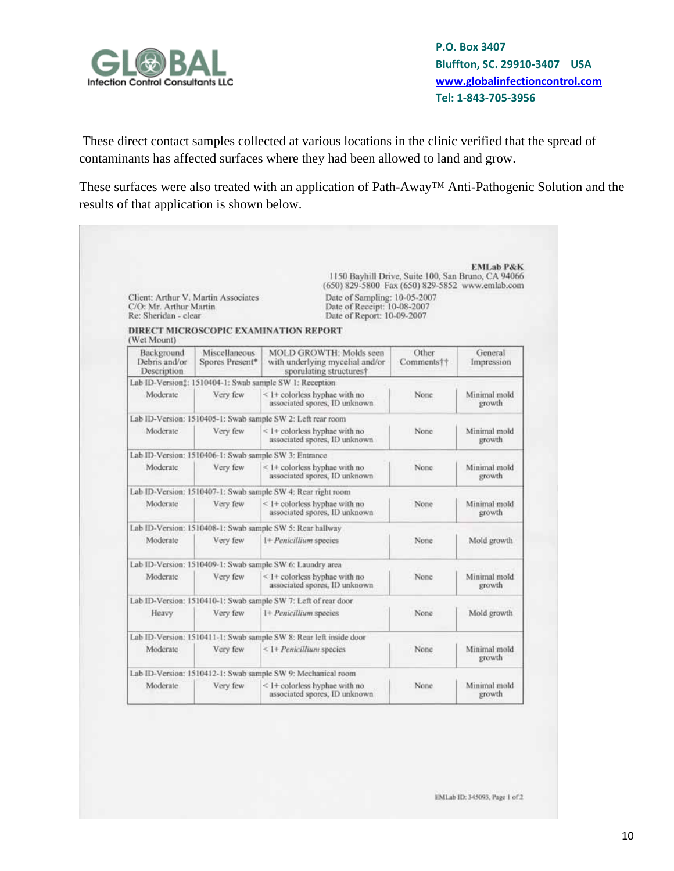

These direct contact samples collected at various locations in the clinic verified that the spread of contaminants has affected surfaces where they had been allowed to land and grow.

These surfaces were also treated with an application of Path-Away™ Anti-Pathogenic Solution and the results of that application is shown below.

|                                                |                                     | (650) 829-5800 Fax (650) 829-5852 www.emlab.com                                              | 1150 Bayhill Drive, Suite 100, San Bruno, CA 94066 |                        |
|------------------------------------------------|-------------------------------------|----------------------------------------------------------------------------------------------|----------------------------------------------------|------------------------|
| C/O: Mr. Arthur Martin<br>Re: Sheridan - clear | Client: Arthur V. Martin Associates | Date of Sampling: 10-05-2007<br>Date of Receipt: 10-08-2007<br>Date of Report: 10-09-2007    |                                                    |                        |
| (Wet Mount)                                    |                                     | DIRECT MICROSCOPIC EXAMINATION REPORT                                                        |                                                    |                        |
| Background<br>Debris and/or<br>Description     | Miscellaneous<br>Spores Present*    | <b>MOLD GROWTH: Molds seen</b><br>with underlying mycelial and/or<br>sporulating structures? | Other<br>Comments††                                | General<br>Impression  |
|                                                |                                     | Lab ID-Version:: 1510404-1: Swab sample SW 1: Reception                                      |                                                    |                        |
| Moderate                                       | Very few                            | $\leq$ 1+ colorless hyphae with no<br>associated spores, ID unknown                          | None                                               | Minimal mold<br>growth |
|                                                |                                     | Lab ID-Version: 1510405-1: Swab sample SW 2: Left rear room                                  |                                                    |                        |
| Moderate                                       | Very few                            | <1+ colorless hyphae with no<br>associated spores, ID unknown                                | None                                               | Minimal mold<br>growth |
|                                                |                                     | Lab ID-Version: 1510406-1: Swab sample SW 3: Entrance                                        |                                                    |                        |
| Moderate                                       | Very few                            | $\leq$ 1+ colorless hyphae with no<br>associated spores, ID unknown                          | None:                                              | Minimal mold<br>growth |
|                                                |                                     | Lab ID-Version: 1510407-1: Swab sample SW 4: Rear right room                                 |                                                    |                        |
| Moderate                                       | Very few                            | < 1+ colorless hyphae with no<br>associated spores, ID unknown                               | None                                               | Minimal mold<br>growth |
|                                                |                                     | Lab ID-Version: 1510408-1: Swab sample SW 5: Rear hallway                                    |                                                    |                        |
| Moderate                                       | Very few                            | 1+ Penicillium species                                                                       | None                                               | Mold growth            |
|                                                |                                     | Lab ID-Version: 1510409-1: Swab sample SW 6: Laundry area                                    |                                                    |                        |
| Moderate                                       | Very few                            | $<$ 1+ colorless hyphae with no<br>associated spores. ID unknown                             | None                                               | Minimal mold<br>growth |
|                                                |                                     | Lab ID-Version: 1510410-1: Swab sample SW 7: Left of rear door                               |                                                    |                        |
| Heavy                                          | Very few                            | 1+ Penicillium species                                                                       | None                                               | Mold growth            |
|                                                |                                     | Lab ID-Version: 1510411-1: Swab sample SW 8: Rear left inside door                           |                                                    |                        |
| Moderate                                       | Very few                            | <1+ Penicillium species                                                                      | None                                               | Minimal mold<br>growth |
|                                                |                                     | Lab ID-Version: 1510412-1: Swab sample SW 9: Mechanical room                                 |                                                    |                        |
| Moderate                                       | Very few                            | <1+ colorless hyphae with no<br>associated spores, ID unknown                                | None                                               | Minimal mold<br>growth |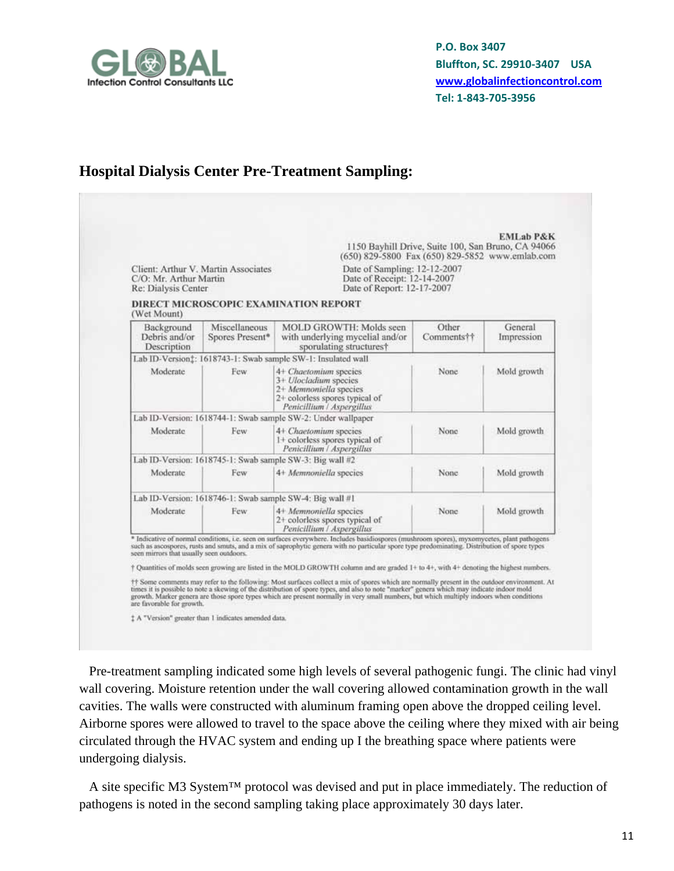

### **Hospital Dialysis Center Pre-Treatment Sampling:**

| C/O: Mr. Arthur Martin<br>Re: Dialysis Center | Client: Arthur V. Martin Associates | (650) 829-5800 Fax (650) 829-5852 www.emlab.com<br>Date of Sampling: 12-12-2007<br>Date of Receipt: 12-14-2007<br>Date of Report: 12-17-2007                                                                                                                                                                                                                                                                                                                                                                                                                                           | 1150 Bayhill Drive, Suite 100, San Bruno, CA 94066 |                       |
|-----------------------------------------------|-------------------------------------|----------------------------------------------------------------------------------------------------------------------------------------------------------------------------------------------------------------------------------------------------------------------------------------------------------------------------------------------------------------------------------------------------------------------------------------------------------------------------------------------------------------------------------------------------------------------------------------|----------------------------------------------------|-----------------------|
| (Wet Mount)                                   |                                     | DIRECT MICROSCOPIC EXAMINATION REPORT                                                                                                                                                                                                                                                                                                                                                                                                                                                                                                                                                  |                                                    |                       |
| Background<br>Debris and/or<br>Description    | Miscellaneous<br>Spores Present*    | <b>MOLD GROWTH: Molds seen</b><br>with underlying mycelial and/or<br>sporulating structures?                                                                                                                                                                                                                                                                                                                                                                                                                                                                                           | Other<br>Comments††                                | General<br>Impression |
|                                               |                                     | Lab ID-Version:: 1618743-1: Swab sample SW-1: Insulated wall                                                                                                                                                                                                                                                                                                                                                                                                                                                                                                                           |                                                    |                       |
| Moderate                                      | Few.                                | 4+ Chaetomium species<br>3+ Ulocladium species<br>2+ Memnoniella species<br>2+ colorless spores typical of<br>Penicillium / Aspergillus                                                                                                                                                                                                                                                                                                                                                                                                                                                | None                                               | Mold growth           |
|                                               |                                     | Lab ID-Version: 1618744-1: Swab sample SW-2: Under wallpaper                                                                                                                                                                                                                                                                                                                                                                                                                                                                                                                           |                                                    |                       |
| Moderate                                      | Few.                                | 4+ Chaetomium species<br>1+ colorless spores typical of<br>Penicillium / Aspergillus                                                                                                                                                                                                                                                                                                                                                                                                                                                                                                   | None                                               | Mold growth           |
|                                               |                                     | Lab ID-Version: 1618745-1: Swab sample SW-3: Big wall #2                                                                                                                                                                                                                                                                                                                                                                                                                                                                                                                               |                                                    |                       |
| Moderate                                      | Few                                 | 4+ Memnoniella species                                                                                                                                                                                                                                                                                                                                                                                                                                                                                                                                                                 | None                                               | Mold growth           |
|                                               |                                     | Lab ID-Version: 1618746-1: Swab sample SW-4: Big wall #1                                                                                                                                                                                                                                                                                                                                                                                                                                                                                                                               |                                                    |                       |
| Moderate                                      | Few                                 | 4+ Memnoniella species<br>2+ colorless spores typical of<br>Penicillium / Aspergillus                                                                                                                                                                                                                                                                                                                                                                                                                                                                                                  | None.                                              | Mold growth           |
| seen mirrors that usually seen outdoors.      |                                     | * Indicative of normal conditions, i.e. seen on surfaces everywhere. Includes basidiospores (mushroom spores), myxomycetes, plant pathogens<br>such as ascospores, rusts and smuts, and a mix of saprophytic genera with no particular spore type predominating. Distribution of spore types<br>† Quantities of molds seen growing are listed in the MOLD GROWTH column and are graded 1+ to 4+, with 4+ denoting the highest numbers.<br>## Some comments may refer to the following: Most surfaces collect a mix of spores which are normally present in the outdoor environment. At |                                                    |                       |

 Pre-treatment sampling indicated some high levels of several pathogenic fungi. The clinic had vinyl wall covering. Moisture retention under the wall covering allowed contamination growth in the wall cavities. The walls were constructed with aluminum framing open above the dropped ceiling level. Airborne spores were allowed to travel to the space above the ceiling where they mixed with air being circulated through the HVAC system and ending up I the breathing space where patients were undergoing dialysis.

 A site specific M3 System™ protocol was devised and put in place immediately. The reduction of pathogens is noted in the second sampling taking place approximately 30 days later.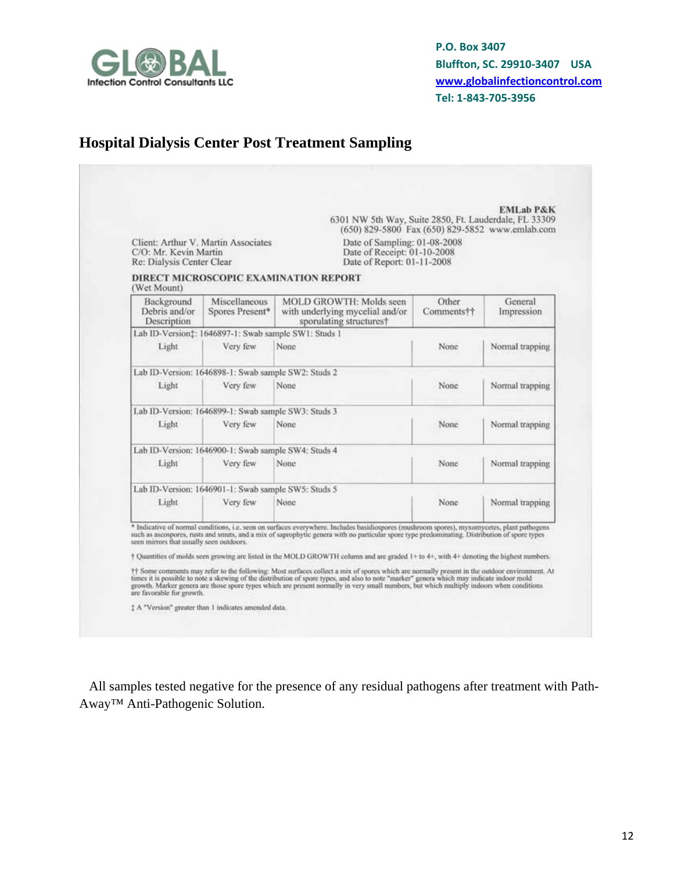

# **Hospital Dialysis Center Post Treatment Sampling**

| C/O: Mr. Kevin Martin<br>Re: Dialysis Center Clear                    | Client: Arthur V. Martin Associates                             | 6301 NW 5th Way, Suite 2850, Ft. Lauderdale, FL 33309<br>(650) 829-5800 Fax (650) 829-5852 www.emlab.com<br>Date of Sampling: 01-08-2008<br>Date of Receipt: 01-10-2008<br>Date of Report: 01-11-2008                                                                                                                                                                                                                                                                                                                                                                                                                                                                                                                                                                                                                                                                                       |                     |                       |
|-----------------------------------------------------------------------|-----------------------------------------------------------------|---------------------------------------------------------------------------------------------------------------------------------------------------------------------------------------------------------------------------------------------------------------------------------------------------------------------------------------------------------------------------------------------------------------------------------------------------------------------------------------------------------------------------------------------------------------------------------------------------------------------------------------------------------------------------------------------------------------------------------------------------------------------------------------------------------------------------------------------------------------------------------------------|---------------------|-----------------------|
| (Wet Mount)                                                           |                                                                 | DIRECT MICROSCOPIC EXAMINATION REPORT                                                                                                                                                                                                                                                                                                                                                                                                                                                                                                                                                                                                                                                                                                                                                                                                                                                       |                     |                       |
| Background<br>Debris and/or<br>Description                            | Miscellaneous<br>Spores Present*                                | <b>MOLD GROWTH: Molds seen</b><br>with underlying mycelial and/or<br>sporulating structures?                                                                                                                                                                                                                                                                                                                                                                                                                                                                                                                                                                                                                                                                                                                                                                                                | Other<br>Comments†† | General<br>Impression |
|                                                                       | Lab ID-Version: 1646897-1: Swab sample SW1: Studs 1             |                                                                                                                                                                                                                                                                                                                                                                                                                                                                                                                                                                                                                                                                                                                                                                                                                                                                                             |                     |                       |
| Light                                                                 | Very few                                                        | None                                                                                                                                                                                                                                                                                                                                                                                                                                                                                                                                                                                                                                                                                                                                                                                                                                                                                        | None                | Normal trapping       |
|                                                                       | Lab ID-Version: 1646898-1: Swab sample SW2: Studs 2             |                                                                                                                                                                                                                                                                                                                                                                                                                                                                                                                                                                                                                                                                                                                                                                                                                                                                                             |                     |                       |
| Light                                                                 | Very few                                                        | None                                                                                                                                                                                                                                                                                                                                                                                                                                                                                                                                                                                                                                                                                                                                                                                                                                                                                        | None                | Normal trapping       |
|                                                                       | Lab ID-Version: 1646899-1: Swab sample SW3: Studs 3             |                                                                                                                                                                                                                                                                                                                                                                                                                                                                                                                                                                                                                                                                                                                                                                                                                                                                                             |                     |                       |
| Light                                                                 | Very few                                                        | None.                                                                                                                                                                                                                                                                                                                                                                                                                                                                                                                                                                                                                                                                                                                                                                                                                                                                                       | None.               | Normal trapping       |
|                                                                       | Lab ID-Version: 1646900-1: Swab sample SW4: Studs 4             |                                                                                                                                                                                                                                                                                                                                                                                                                                                                                                                                                                                                                                                                                                                                                                                                                                                                                             |                     |                       |
| Light                                                                 | Very few                                                        | None                                                                                                                                                                                                                                                                                                                                                                                                                                                                                                                                                                                                                                                                                                                                                                                                                                                                                        | None                | Normal trapping       |
|                                                                       | Lab ID-Version: 1646901-1: Swab sample SW5: Studs 5             |                                                                                                                                                                                                                                                                                                                                                                                                                                                                                                                                                                                                                                                                                                                                                                                                                                                                                             |                     |                       |
| Light                                                                 | Very few                                                        | None                                                                                                                                                                                                                                                                                                                                                                                                                                                                                                                                                                                                                                                                                                                                                                                                                                                                                        | None                | Normal trapping       |
| seen mirrors that usually seen outdoors.<br>are favorable for growth. | <sup>1</sup> A "Version" greater than 1 indicates amended data. | * Indicative of normal conditions, i.e. seen on surfaces everywhere. Includes basidiospores (mushroom spores), myxomycetes, plant pathogens<br>such as ascospores, rusts and smuts, and a mix of saprophytic genera with no particular spore type predominating. Distribution of spore types<br><sup>+</sup> Quantities of molds seen growing are listed in the MOLD GROWTH column and are graded 1+ to 4+, with 4+ denoting the highest numbers.<br>#1 Some comments may refer to the following: Most surfaces collect a mix of spores which are normally present in the outdoor environment. At<br>times it is possible to note a skewing of the distribution of spore types, and also to note "marker" genera which may indicate indoor mold<br>growth. Marker genera are those spore types which are present normally in very small numbers, but which multiply indoors when conditions |                     |                       |

All samples tested negative for the presence of any residual pathogens after treatment with Path-Away™ Anti-Pathogenic Solution.